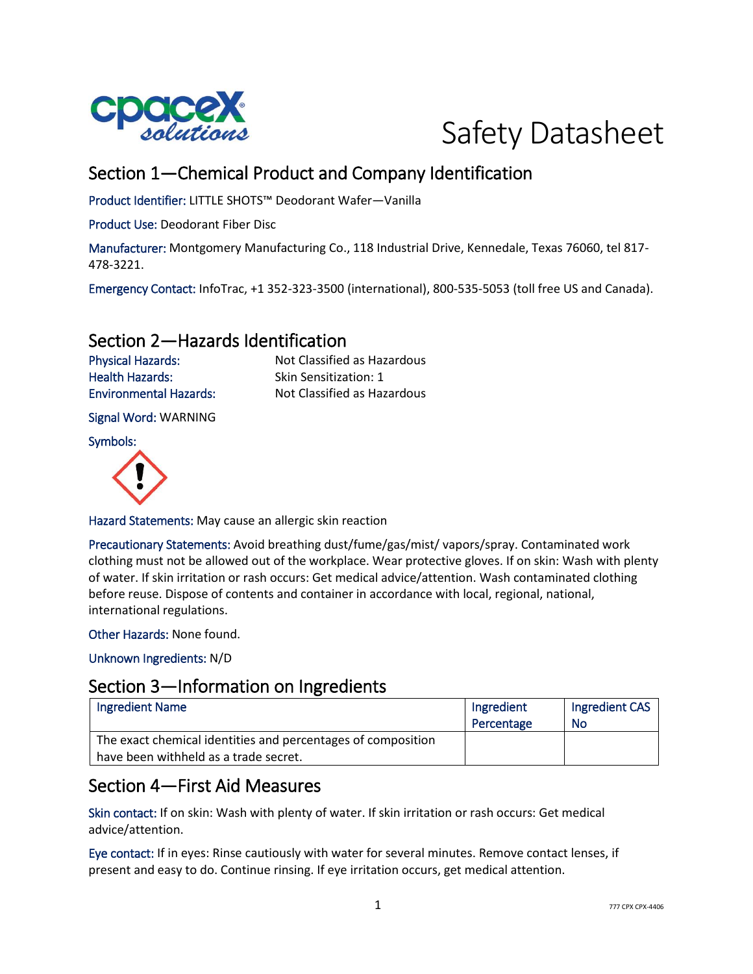



# Section 1—Chemical Product and Company Identification

Product Identifier: LITTLE SHOTS™ Deodorant Wafer—Vanilla

Product Use: Deodorant Fiber Disc

Manufacturer: Montgomery Manufacturing Co., 118 Industrial Drive, Kennedale, Texas 76060, tel 817- 478-3221.

Emergency Contact: InfoTrac, +1 352-323-3500 (international), 800-535-5053 (toll free US and Canada).

### Section 2—Hazards Identification

Health Hazards: Skin Sensitization: 1

Physical Hazards: Not Classified as Hazardous Environmental Hazards: Not Classified as Hazardous

Signal Word: WARNING

Symbols:



Hazard Statements: May cause an allergic skin reaction

Precautionary Statements: Avoid breathing dust/fume/gas/mist/ vapors/spray. Contaminated work clothing must not be allowed out of the workplace. Wear protective gloves. If on skin: Wash with plenty of water. If skin irritation or rash occurs: Get medical advice/attention. Wash contaminated clothing before reuse. Dispose of contents and container in accordance with local, regional, national, international regulations.

Other Hazards: None found.

Unknown Ingredients: N/D

### Section 3—Information on Ingredients

| <b>Ingredient Name</b>                                                                                | Ingredient<br>Percentage | Ingredient CAS<br>No |
|-------------------------------------------------------------------------------------------------------|--------------------------|----------------------|
| The exact chemical identities and percentages of composition<br>have been withheld as a trade secret. |                          |                      |

## Section 4—First Aid Measures

Skin contact: If on skin: Wash with plenty of water. If skin irritation or rash occurs: Get medical advice/attention.

Eye contact: If in eyes: Rinse cautiously with water for several minutes. Remove contact lenses, if present and easy to do. Continue rinsing. If eye irritation occurs, get medical attention.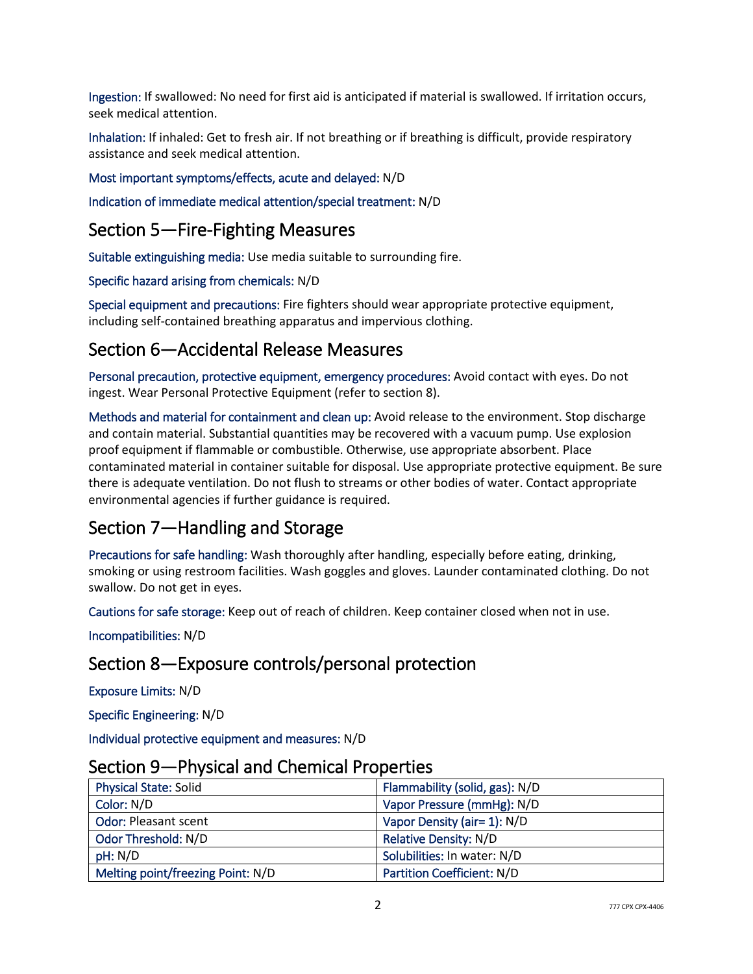Ingestion: If swallowed: No need for first aid is anticipated if material is swallowed. If irritation occurs, seek medical attention.

Inhalation: If inhaled: Get to fresh air. If not breathing or if breathing is difficult, provide respiratory assistance and seek medical attention.

#### Most important symptoms/effects, acute and delayed: N/D

Indication of immediate medical attention/special treatment: N/D

## Section 5—Fire-Fighting Measures

Suitable extinguishing media: Use media suitable to surrounding fire.

Specific hazard arising from chemicals: N/D

Special equipment and precautions: Fire fighters should wear appropriate protective equipment, including self-contained breathing apparatus and impervious clothing.

## Section 6—Accidental Release Measures

Personal precaution, protective equipment, emergency procedures: Avoid contact with eyes. Do not ingest. Wear Personal Protective Equipment (refer to section 8).

Methods and material for containment and clean up: Avoid release to the environment. Stop discharge and contain material. Substantial quantities may be recovered with a vacuum pump. Use explosion proof equipment if flammable or combustible. Otherwise, use appropriate absorbent. Place contaminated material in container suitable for disposal. Use appropriate protective equipment. Be sure there is adequate ventilation. Do not flush to streams or other bodies of water. Contact appropriate environmental agencies if further guidance is required.

## Section 7—Handling and Storage

Precautions for safe handling: Wash thoroughly after handling, especially before eating, drinking, smoking or using restroom facilities. Wash goggles and gloves. Launder contaminated clothing. Do not swallow. Do not get in eyes.

Cautions for safe storage: Keep out of reach of children. Keep container closed when not in use.

Incompatibilities: N/D

## Section 8—Exposure controls/personal protection

Exposure Limits: N/D

Specific Engineering: N/D

Individual protective equipment and measures: N/D

| <u>Jechon Jean Hilysical and Chemical Hopernes</u> |                                   |
|----------------------------------------------------|-----------------------------------|
| <b>Physical State: Solid</b>                       | Flammability (solid, gas): N/D    |
| Color: N/D                                         | Vapor Pressure (mmHg): N/D        |
| <b>Odor: Pleasant scent</b>                        | Vapor Density (air= 1): N/D       |
| Odor Threshold: N/D                                | <b>Relative Density: N/D</b>      |
| pH: N/D                                            | Solubilities: In water: N/D       |
| Melting point/freezing Point: N/D                  | <b>Partition Coefficient: N/D</b> |

### Section 9—Physical and Chemical Properties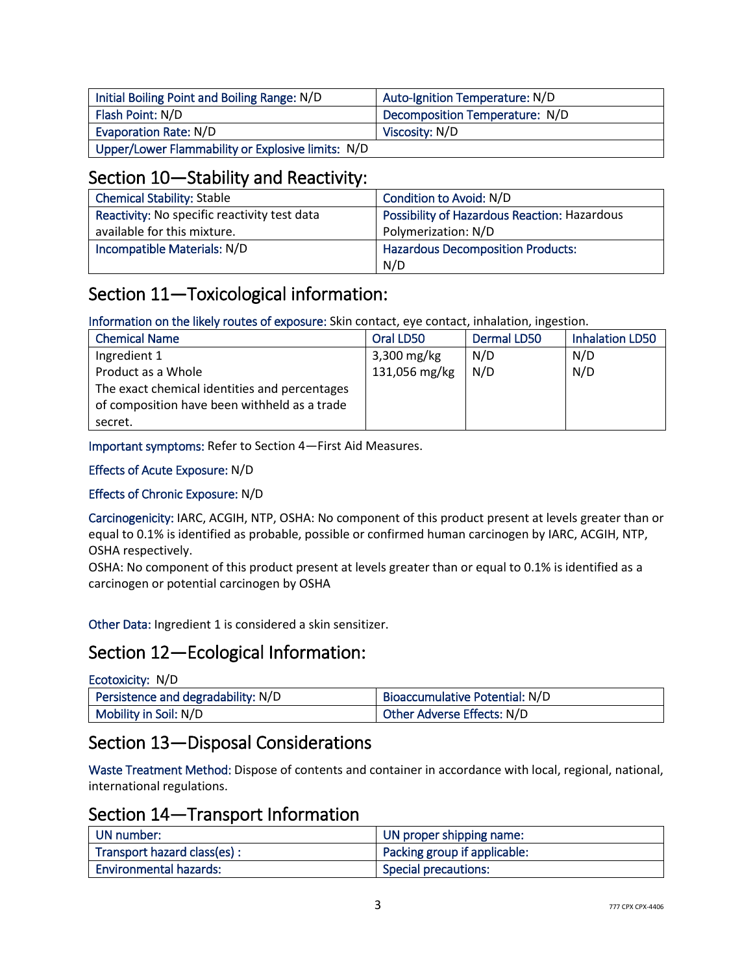| Initial Boiling Point and Boiling Range: N/D      | Auto-Ignition Temperature: N/D |
|---------------------------------------------------|--------------------------------|
| Flash Point: N/D                                  | Decomposition Temperature: N/D |
| Evaporation Rate: N/D                             | Viscosity: N/D                 |
| Upper/Lower Flammability or Explosive limits: N/D |                                |

## Section 10—Stability and Reactivity:

| <b>Chemical Stability: Stable</b>            | Condition to Avoid: N/D                             |
|----------------------------------------------|-----------------------------------------------------|
| Reactivity: No specific reactivity test data | <b>Possibility of Hazardous Reaction: Hazardous</b> |
| available for this mixture.                  | Polymerization: N/D                                 |
| Incompatible Materials: N/D                  | <b>Hazardous Decomposition Products:</b>            |
|                                              | N/D                                                 |

# Section 11—Toxicological information:

Information on the likely routes of exposure: Skin contact, eye contact, inhalation, ingestion.

| <b>Chemical Name</b>                          | Oral LD50     | Dermal LD50 | <b>Inhalation LD50</b> |
|-----------------------------------------------|---------------|-------------|------------------------|
| Ingredient 1                                  | $3,300$ mg/kg | N/D         | N/D                    |
| Product as a Whole                            | 131,056 mg/kg | N/D         | N/D                    |
| The exact chemical identities and percentages |               |             |                        |
| of composition have been withheld as a trade  |               |             |                        |
| secret.                                       |               |             |                        |

Important symptoms: Refer to Section 4—First Aid Measures.

#### Effects of Acute Exposure: N/D

#### Effects of Chronic Exposure: N/D

Carcinogenicity: IARC, ACGIH, NTP, OSHA: No component of this product present at levels greater than or equal to 0.1% is identified as probable, possible or confirmed human carcinogen by IARC, ACGIH, NTP, OSHA respectively.

OSHA: No component of this product present at levels greater than or equal to 0.1% is identified as a carcinogen or potential carcinogen by OSHA

Other Data: Ingredient 1 is considered a skin sensitizer.

## Section 12—Ecological Information:

| Ecotoxicity: N/D                   |                                |
|------------------------------------|--------------------------------|
| Persistence and degradability: N/D | Bioaccumulative Potential: N/D |
| Mobility in Soil: N/D              | Other Adverse Effects: N/D     |

## Section 13—Disposal Considerations

Waste Treatment Method: Dispose of contents and container in accordance with local, regional, national, international regulations.

## Section 14—Transport Information

| UN number:                    | UN proper shipping name:     |
|-------------------------------|------------------------------|
| Transport hazard class(es):   | Packing group if applicable: |
| <b>Environmental hazards:</b> | <b>Special precautions:</b>  |